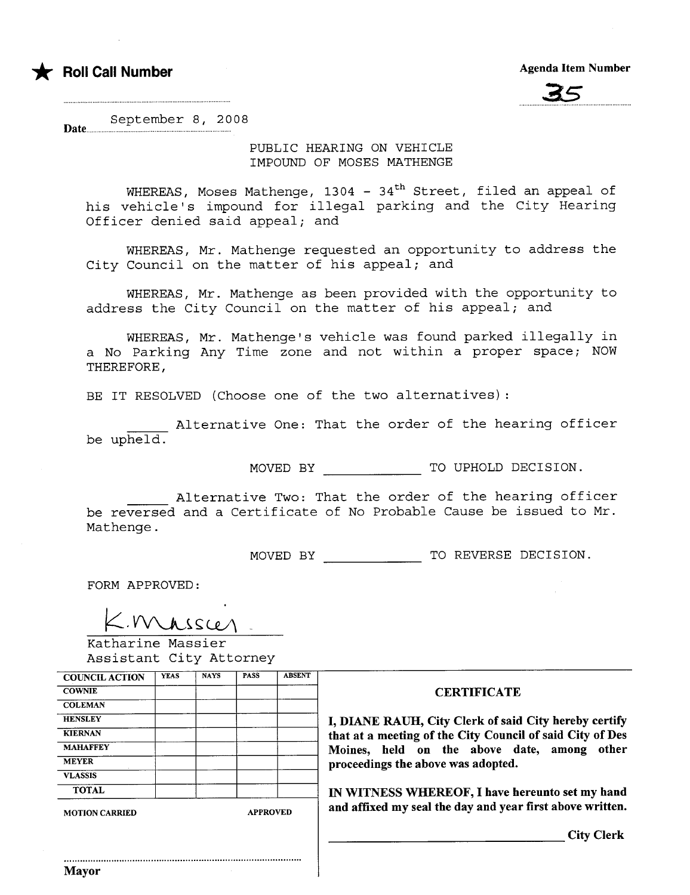



September 8, 2008 Date......

> PUBLIC HEARING ON VEHICLE IMPOUND OF MOSES MATHENGE

WHEREAS, Moses Mathenge, 1304 -  $34<sup>th</sup>$  Street, filed an appeal of his vehicle's impound for illegal parking and the City Hearing Officer denied said appeal; and

WHEREAS, Mr. Mathenge requested an opportunity to address the City Council on the matter of his appeal; and

WHEREAS, Mr. Mathenge as been provided with the opportunity to address the City Council on the matter of his appeal; and

WHEREAS, Mr. Mathenge's vehicle was found parked illegally in a No Parking Any Time zone and not within a proper space; NOW THEREFORE,

BE IT RESOLVED (Choose one of the two alternatives) :

Alternative One: That the order of the hearing officer be upheld.

MOVED BY TO UPHOLD DECISION.

Alternative Two: That the order of the hearing officer be reversed and a Certificate of No Probable Cause be issued to Mr. Mathenge.

MOVED BY TO REVERSE DECISION.

FORM APPROVED:

K. Mulussien<br>Katharine Massier

Assistant City Attorney

| <b>COUNCIL ACTION</b> | <b>YEAS</b> | <b>NAYS</b> | <b>PASS</b>     | <b>ABSENT</b> |
|-----------------------|-------------|-------------|-----------------|---------------|
| <b>COWNIE</b>         |             |             |                 |               |
| <b>COLEMAN</b>        |             |             |                 |               |
| <b>HENSLEY</b>        |             |             |                 |               |
| <b>KIERNAN</b>        |             |             |                 |               |
| <b>MAHAFFEY</b>       |             |             |                 |               |
| <b>MEYER</b>          |             |             |                 |               |
| <b>VLASSIS</b>        |             |             |                 |               |
| <b>TOTAL</b>          |             |             |                 |               |
| <b>MOTION CARRIED</b> |             |             | <b>APPROVED</b> |               |

..........................................................................................

#### **CERTIFICATE**

I, DIANE RAUH, City Clerk of said City hereby certify that at a meeting of the City Council of said City of Des Moines, held on the above date, among other proceedings the above was adopted.

IN WITNESS WHEREOF, I have hereunto set my hand and affixed my seal the day and year first above written.

City Clerk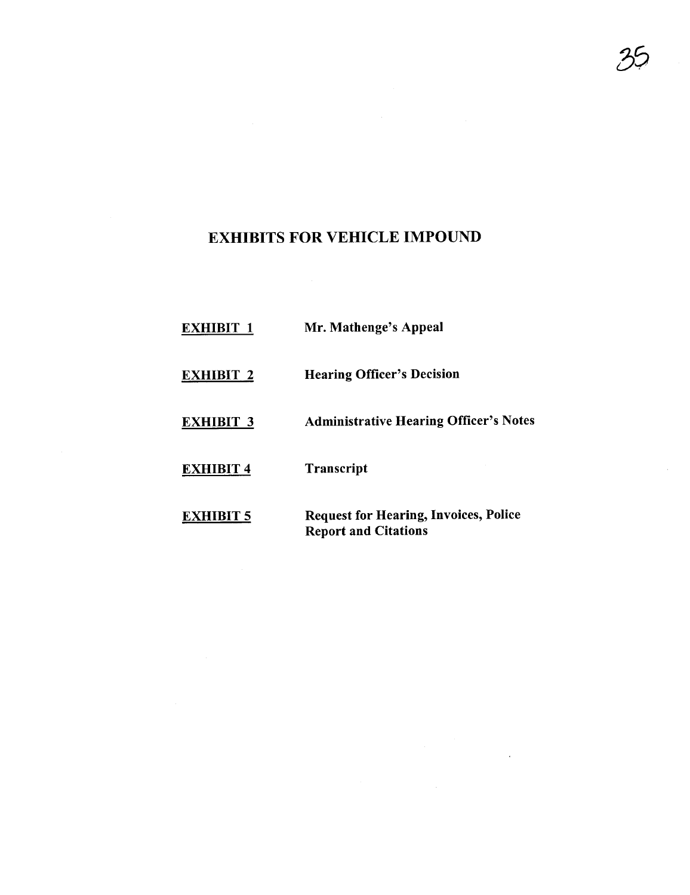# EXHIBITS FOR VEHICLE IMPOUND

| <b>EXHIBIT 1</b> | Mr. Mathenge's Appeal                                                       |
|------------------|-----------------------------------------------------------------------------|
| <b>EXHIBIT 2</b> | <b>Hearing Officer's Decision</b>                                           |
| <b>EXHIBIT 3</b> | <b>Administrative Hearing Officer's Notes</b>                               |
| <b>EXHIBIT 4</b> | <b>Transcript</b>                                                           |
| <b>EXHIBIT 5</b> | <b>Request for Hearing, Invoices, Police</b><br><b>Report and Citations</b> |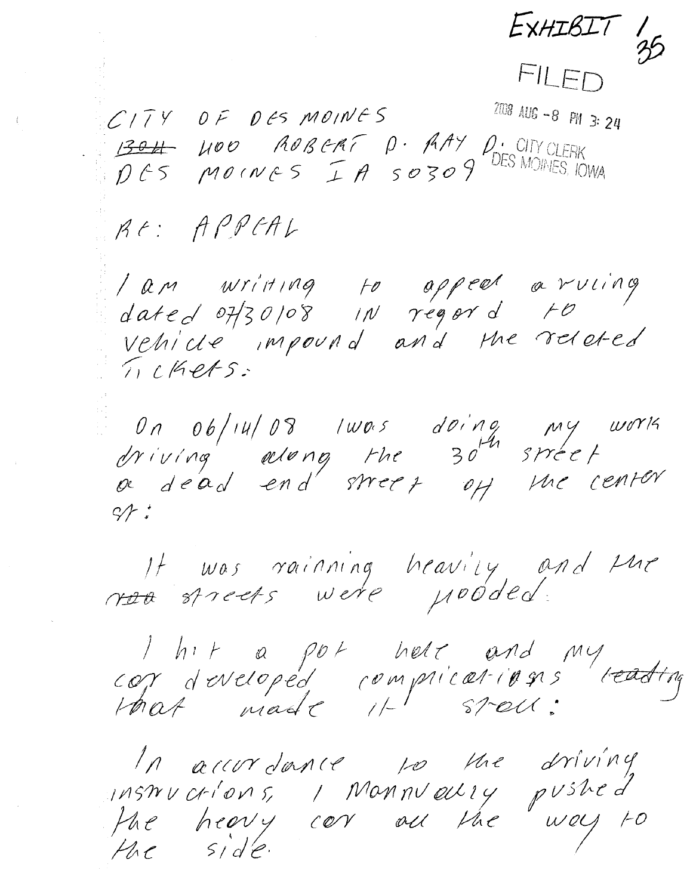$EXHIBIT 1\n35$ 

FILED

 $CITY$   $DF$   $DE$   $MOMES$  2008 AUG-8 PM 3:24  $\begin{array}{lllll} \underline{1304} & \text{MOO} & \text{AOBCAF} & \text{O} \cdot \text{AAY} & \text{O} \cdot \text{CITY CLERK} \\ \text{DCS} & \text{MO CN } \text{CSS} & \text{I} & \text{A} & \text{S} & \text{O} & \text{S} & \text{O} & \text{DES MOINES, IOWA} \end{array}$ 

RE: APPEAL

/ am writing to appeal arving<br>dated 07/30/08 in regard to vehicle impound and the related TICKets:

On  $0b/14/08$  lwas doing my work<br>driving adomng the  $30^{44}$  street<br>or dead end street off the center  $S/F$ 

It was rainning heavily and the

I hit a pot helt and my<br>cor developed complications teading<br>that made it stell:

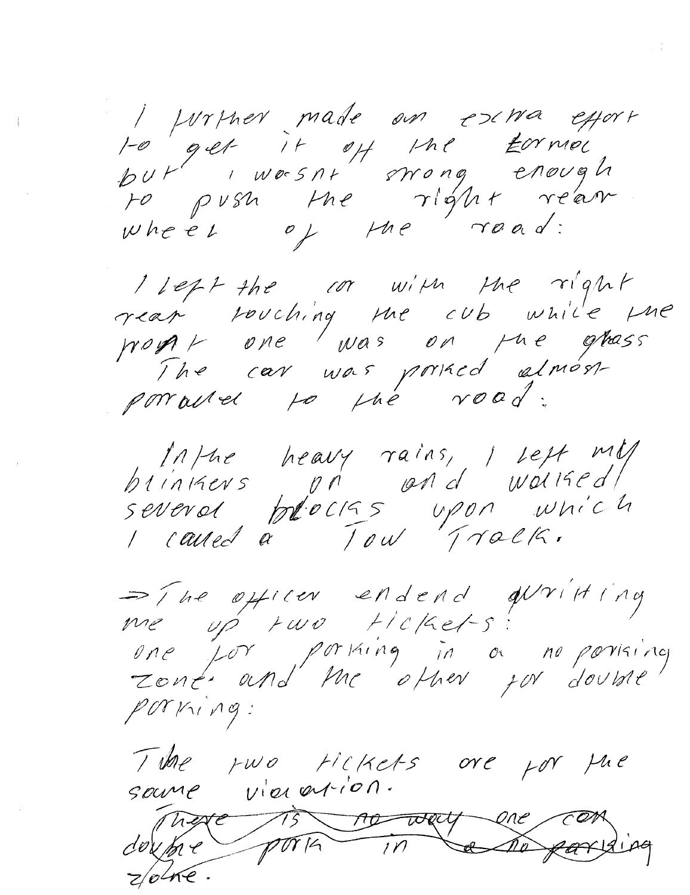I personale en exira esport 1-0 get it of the torner<br>but worsn't strong enough<br>to push the right rear

I left the cor with the right rear rouching the cub while the work one was on the ghass The car was princed almost porraited to the road:

Inthe heavy rains, I selt mll  $btin$ kevs  $p$ n  $p$ nd wollsed) severed blocks upon which I caused a Tow Track.

=The officer endend qu'il ting me up two tickets one for portaing in a no portaing POTKING:

The two tickets over for the source vierention. There 15 no way one can porte in  $dev$  to  $e$ Ca po parising  $z/e^{\sqrt{ke}}$ .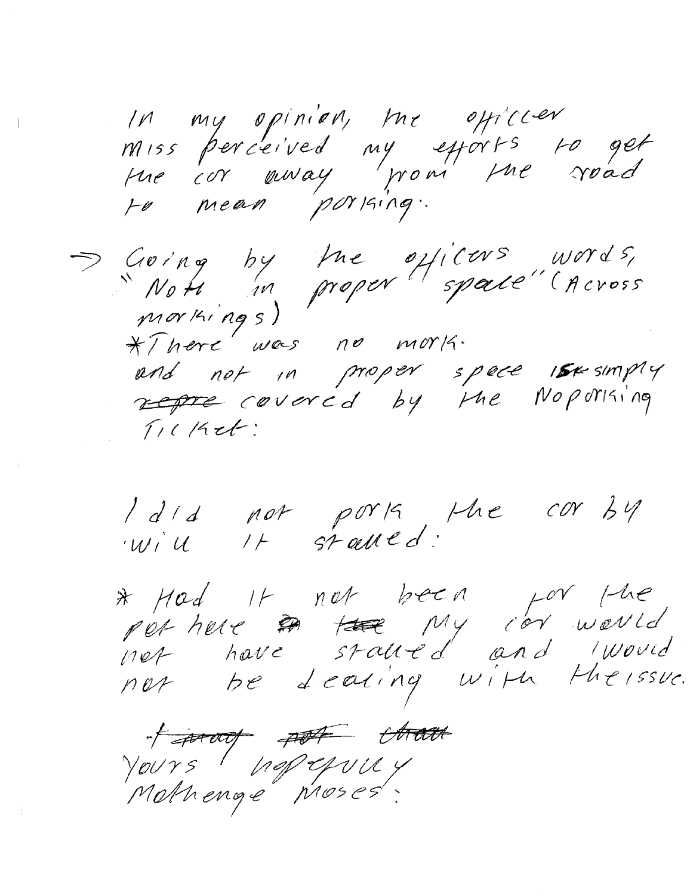In my opinion, me officier miss perceived my efforts to get<br>the cor away from the road

Saving by the officers words,<br>Note in proper space" (Across<br>morkings) \*There was no mork. and not in proper space isesumply represented by the Nopolising  $T/CKet$ 

I did not porta, the cor by will It stalled:

\* Had it not been for the<br>not have stalled and iwould<br>not be dealing with the issue.

fatour port than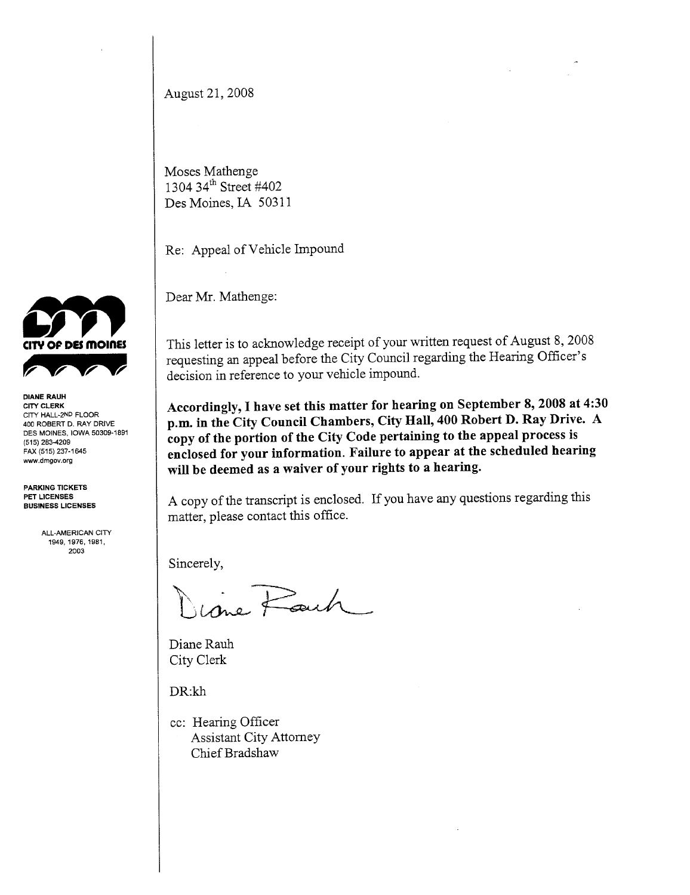August 21, 2008

Moses Mathenge 1304 34<sup>th</sup> Street #402 Des Moines, IA 50311

Re: Appeal of Vehicle Impound

Dear Mr. Mathenge:

This letter is to acknowledge receipt of your written request of August 8, 2008 requesting an appeal before the City Council regarding the Hearig Officer's decision in reference to your vehicle impound.

Accordingly, I have set this matter for hearing on September 8, 2008 at 4:30 p.m. in the City Council Chambers, City Hall, 400 Robert D. Ray Drive. A copy of the portion of the City Code pertaining to the appeal process is enclosed for your information. Failure to appear at the scheduled hearing will be deemed as a waiver of your rights to a hearing.

A copy of the transcript is enclosed. If you have any questions regarding this matter, please contact this office.

Sincerely,  $\overline{R}_{\text{max}}$ 

Diane Rauh City Clerk

DR:kh

cc: Hearing Officer Assistant City Attorney Chief Bradshaw



DIANE RAUH CITY CLERK CITY HALL-2ND FLOOR 400 ROBERT D. RAY DRIVE DES MOINES, IOWA 50309-1891 (515) 283-4209 FAX (515) 237-1645 ww,dmgov.org

PARKING TICKETS PET LICENSES BUSINESS LICENSES

> ALL-AMERICAN CITY 1949,1976,1981, 2003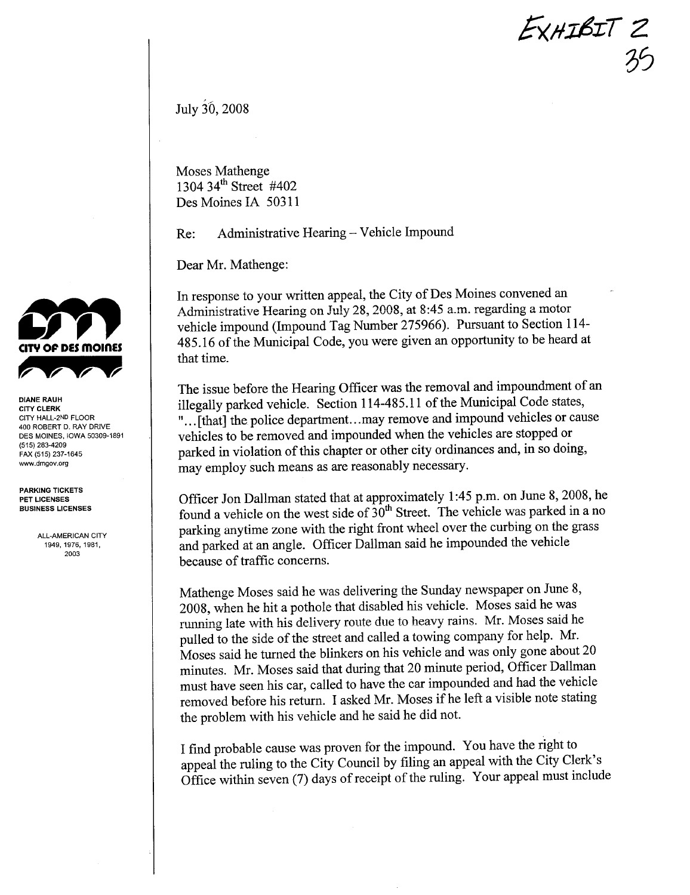EXHIBIT 2  $\mathcal{Y}$ 

July 30, 2008

Moses Mathenge 1304 34<sup>th</sup> Street #402 Des Moines IA 50311

Re: Administrative Hearing – Vehicle Impound

Dear Mr. Mathenge:

In response to your written appeal, the City of Des Moines convened an Administrative Hearing on July 28,2008, at 8:45 a.m. regarding a motor vehicle impound (Impound Tag Number 275966). Pursuant to Section 114- 485.16 of the Municipal Code, you were given an opportunity to be heard at that time.

The issue before the Hearing Officer was the removal and impoundment of an illegally parked vehicle. Section 114-485.11 of the Municipal Code states, "... [that] the police department...may remove and impound vehicles or cause vehicles to be removed and impounded when the vehicles are stopped or parked in violation of this chapter or other city ordinances and, in so doing, may employ such means as are reasonably necessary.

Officer Jon Dallman stated that at approximately 1:45 p.m. on June 8, 2008, he found a vehicle on the west side of  $30<sup>th</sup>$  Street. The vehicle was parked in a no parking anytime zone with the right front wheel over the curbing on the grass and parked at an angle. Officer Dallman said he impounded the vehicle because of traffic concerns.

Mathenge Moses said he was delivering the Sunday newspaper on June 8, 2008, when he hit a pothole that disabled his vehicle. Moses said he was miming late with his delivery route due to heavy rains. Mr. Moses said he pulled to the side of the street and called a towing company for help. Mr. Moses said he tured the blinkers on his vehicle and was only gone about 20 minutes. Mr. Moses said that during that 20 minute period, Officer Dallman must have seen his car, called to have the car impounded and had the vehicle removed before his return. I asked Mr. Moses if he left a visible note stating the problem with his vehicle and he said he did not.

I find probable cause was proven for the impound. You have the right to appeal the ruling to the City Council by filing an appeal with the City Clerk's Office within seven (7) days of receipt of the ruling. Your appeal must include



DIANE RAUH CITY CLERK CITY HALL-2ND FLOOR 400 ROBERT D. RAY DRIVE DES MOINES, IOWA 50309-1891 (515) 283-4209 FAX (515) 237-1645 ww,dmgov,org

PARKING TICKETS PET LICENSES BUSINESS LICENSES

> ALL-AMERICAN CITY 1949,1976,1981, 2003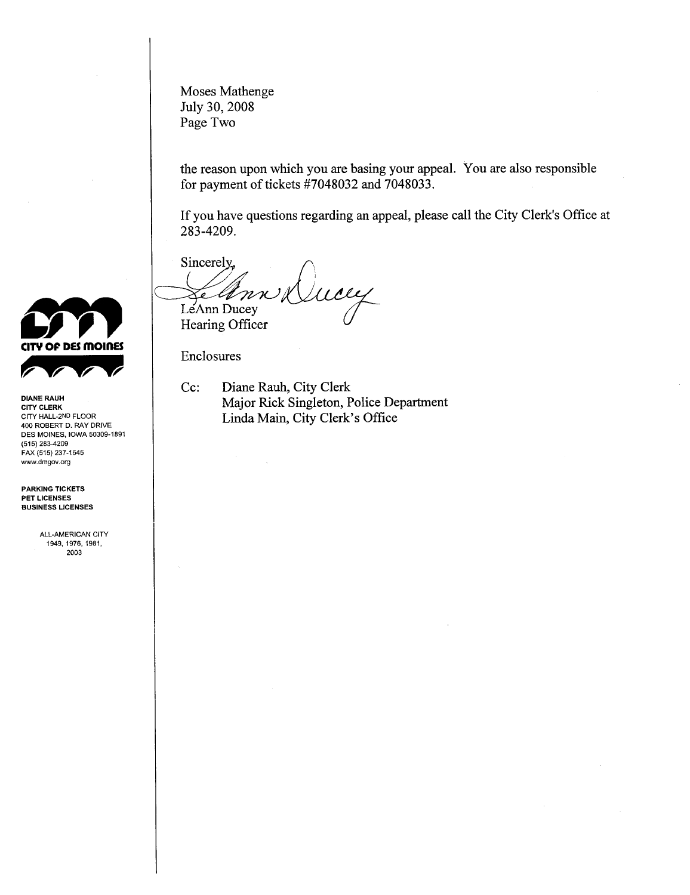Moses Mathenge July 30, 2008 Page Two

the reason upon which you are basing your appeaL. You are also responsible for payment of tickets #7048032 and 7048033.

If you have questions regarding an appeal, please call the City Clerk's Office at 283-4209.

Sincerely way Elbnn

Cc: Diane Rauh, City Clerk Major Rick Singleton, Police Deparment Linda Main, City Clerk's Office



DIANE RAUH CITY CLERK CITY HALL-2ND FLOOR 400 ROBERT D. RAY DRIVE DES MOINES, IOWA 50309-1891 (515) 283-4209 FAX (515) 237-1645 ww,dmgov.org

PARKING TICKETS PET LICENSES BUSINESS LICENSES

> ALL-AMERICAN CITY 1949, 1976, 1981, 2003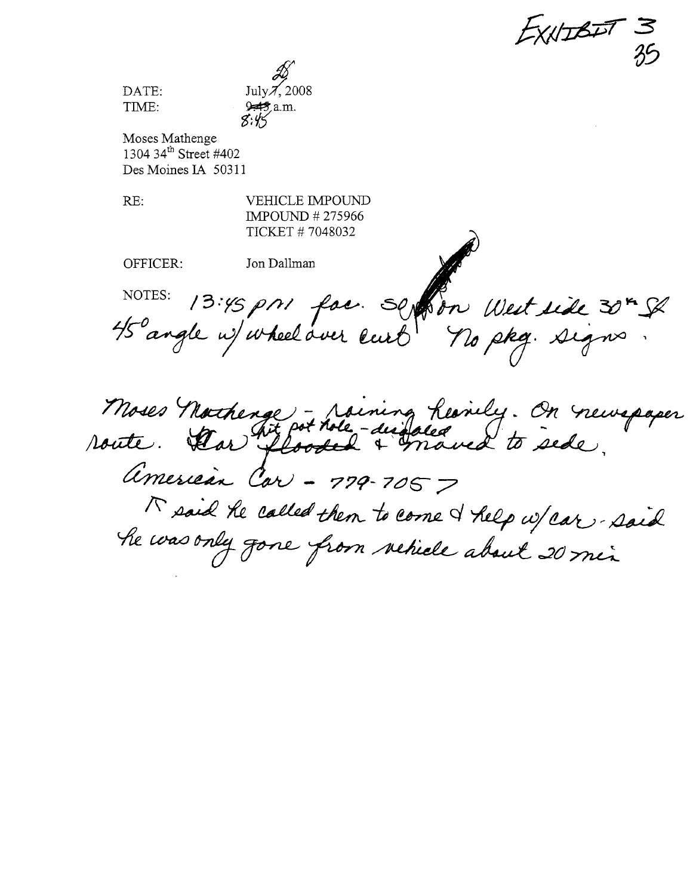$E$ XNIBIT 3  $\frac{25}{3}$ 

July $\cancel{\pi}$ , 2008  $\mathscr{Z}_{\infty}$  $97.2 \text{ m}$ .

Moses Mathenge 1304 34<sup>th</sup> Street #402 Des Moines IA 50311

RE: VEHICLE IMPOUND IMPOUND #275966 TICKET # 7048032 /

OFFICER: Jon Dallman  $\bigvee$ 

DATE: TIME:

~,l NOTES: 13:45 pri fac. Seption West side 30<sup>m</sup> SP

)

7<br>Noses Moses Northerge - raining Residey. On new American Car - 779-705 7<br>^ said he called then to come I help w/car - said<br>he was only gone from vehicle about 20 min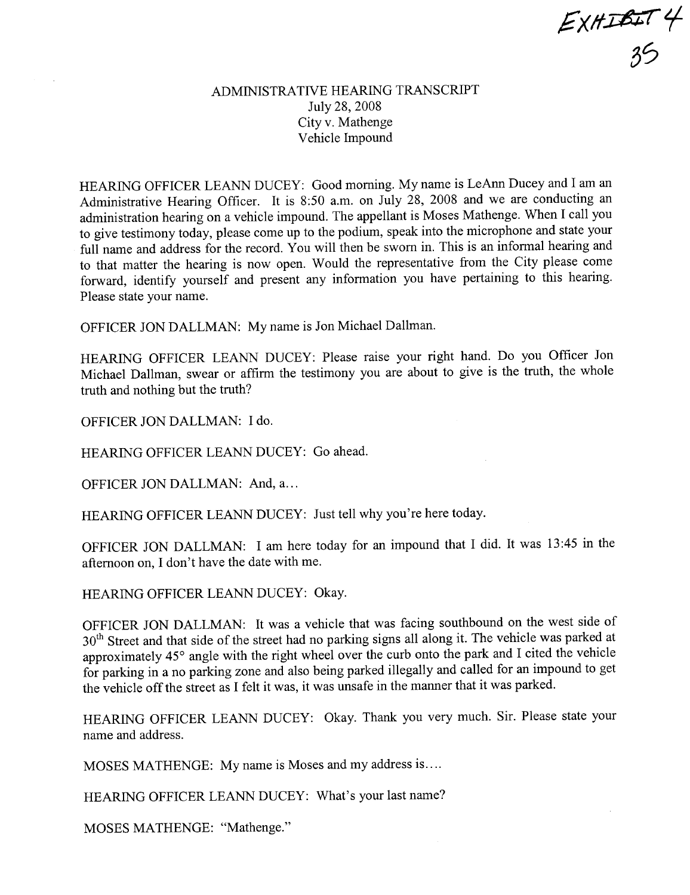$EXH$ IBIT 4  $35$ 

## ADMINISTRATIVE HEARING TRANSCRIT July 28, 2008 City v. Mathenge Vehicle Impound

HEARING OFFICER LEANN DUCEY: Good morning. My name is LeAnn Ducey and I am an Administrative Hearing Officer. It is 8:50 a.m. on July 28, 2008 and we are conducting an administration hearing on a vehicle impound. The appellant is Moses Mathenge. When I call you to give testimony today, please come up to the podium, speak into the microphone and state your full name and address for the record. You will then be sworn in. This is an informal hearing and to that matter the hearing is now open. Would the representative from the City please come forward, identify yourself and present any information you have pertaining to this hearing. Please state your name.

OFFICER JON DALLMAN: My name is Jon Michael Dallman.

HEARING OFFICER LEANN DUCEY: Please raise your right hand. Do you Officer Jon Michael Dallman, swear or affrm the testimony you are about to give is the truth, the whole truth and nothing but the truth?

OFFICER JON DALLMAN: I do.

HEARING OFFICER LEANN DUCEY: Go ahead.

OFFICER JON DALLMAN: And, a...

HEARING OFFICER LEANN DUCEY: Just tell why you're here today.

OFFICER JON DALLMAN: I am here today for an impound that I did. It was 13:45 in the afternoon on, I don't have the date with me.

HEARING OFFICER LEANN DUCEY: Okay.

OFFICER JON DALLMAN: It was a vehicle that was facing southbound on the west side of 30<sup>th</sup> Street and that side of the street had no parking signs all along it. The vehicle was parked at approximately 45° angle with the right wheel over the curb onto the park and I cited the vehicle for parking in a no parking zone and also being parked illegally and called for an impound to get the vehicle off the street as I felt it was, it was unsafe in the manner that it was parked.

HEARING OFFICER LEANN DUCEY: Okay. Thank you very much. Sir. Please state your name and address.

MOSES MATHENGE: My name is Moses and my address is....

HEARING OFFICER LEANN DUCEY: What's your last name?

MOSES MATHENGE: "Mathenge."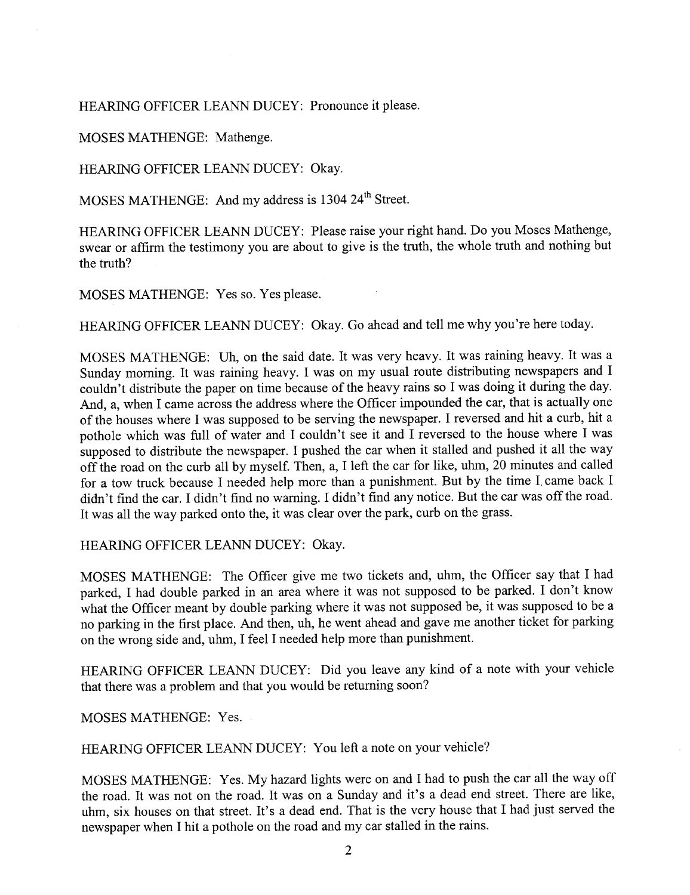HEARING OFFICER LEANN DUCEY: Pronounce it please.

MOSES MATHENGE: Mathenge.

HEARING OFFICER LEANN DUCEY: Okay.

MOSES MATHENGE: And my address is 1304 24<sup>th</sup> Street.

HEARING OFFICER LEANN DUCEY: Please raise your right hand. Do you Moses Mathenge, swear or affirm the testimony you are about to give is the truth, the whole truth and nothing but the truth?

MOSES MATHENGE: Yes so. Yes please.

HEARING OFFICER LEANN DUCEY: Okay. Go ahead and tell me why you're here today.

MOSES MATHENGE: Uh, on the said date. It was very heavy. It was raining heavy. It was a Sunday morning. It was raining heavy. I was on my usual route distributing newspapers and I couldn't distribute the paper on time because of the heavy rains so I was doing it during the day. And, a, when I came across the address where the Officer impounded the car, that is actually one of the houses where I was supposed to be serving the newspaper. I reversed and hit a curb, hit a pothole which was full of water and I couldn't see it and I reversed to the house where I was supposed to distribute the newspaper. I pushed the car when it stalled and pushed it all the way off the road on the curb all by myself. Then, a, I left the car for like, uhm, 20 minutes and called for a tow truck because I needed help more than a punishment. But by the time 1. came back I didn't find the car. I didn't find no warning. I didn't find any notice. But the car was off the road. It was all the way parked onto the, it was clear over the park, curb on the grass.

HEARING OFFICER LEANN DUCEY: Okay.

MOSES MATHENGE: The Officer give me two tickets and, uhm, the Officer say that I had parked, I had double parked in an area where it was not supposed to be parked. I don't know what the Officer meant by double parking where it was not supposed be, it was supposed to be a no parking in the first place. And then, uh, he went ahead and gave me another ticket for parking on the wrong side and, uhm, I feel I needed help more than punishment.

HEARING OFFICER LEANN DUCEY: Did you leave any kind of a note with your vehicle that there was a problem and that you would be returing soon?

MOSES MATHENGE: Yes.

HEARING OFFICER LEANN DUCEY: You left a note on your vehicle?

MOSES MATHENGE: Yes. My hazard lights were on and I had to push the car all the way off the road. It was not on the road. It was on a Sunday and it's a dead end street. There are like, uhm, six houses on that street. It's a dead end. That is the very house that I had just served the newspaper when I hit a pothole on the road and my car stalled in the rains.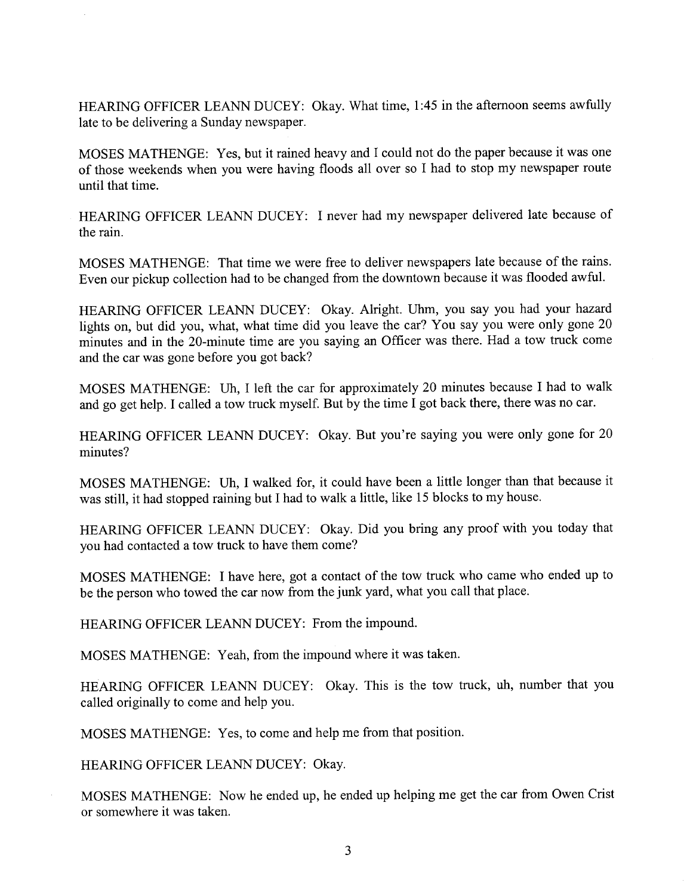HEARING OFFICER LEANN DUCEY: Okay. What time, 1:45 in the afternoon seems awfully late to be delivering a Sunday newspaper.

MOSES MA THENGE: Yes, but it rained heavy and I could not do the paper because it was one of those weekends when you were having floods all over so I had to stop my newspaper route until that time.

HEARING OFFICER LEANN DUCEY: I never had my newspaper delivered late because of the rain.

MOSES MATHENGE: That time we were free to deliver newspapers late because of the rains. Even our pickup collection had to be changed from the downtown because it was flooded awfuL.

HEARING OFFICER LEANN DUCEY: Okay. Alright. Uhm, you say you had your hazard lights on, but did you, what, what time did you leave the car? You say you were only gone 20 minutes and in the 20-minute time are you saying an Officer was there. Had a tow truck come and the car was gone before you got back?

MOSES MATHENGE: Uh, I left the car for approximately 20 minutes because I had to walk and go get help. I called a tow truck myself. But by the time I got back there, there was no car.

HEARING OFFICER LEANN DUCEY: Okay. But you're saying you were only gone for 20 minutes?

MOSES MATHENGE: Uh, I walked for, it could have been a little longer than that because it was still, it had stopped raining but I had to walk a little, like 15 blocks to my house.

HEARING OFFICER LEANN DUCEY: Okay. Did you bring any proof with you today that you had contacted a tow truck to have them come?

MOSES MATHENGE: I have here, got a contact of the tow truck who came who ended up to be the person who towed the car now from the junk yard, what you call that place.

HEARING OFFICER LEANN DUCEY: From the impound.

MOSES MATHENGE: Yeah, from the impound where it was taken.

HEARING OFFICER LEANN DUCEY: Okay. This is the tow truck, uh, number that you called originally to come and help you.

MOSES MATHENGE: Yes, to come and help me from that position.

HEARING OFFICER LEANN DUCEY: Okay.

MOSES MATHENGE: Now he ended up, he ended up helping me get the car from Owen Crist or somewhere it was taken.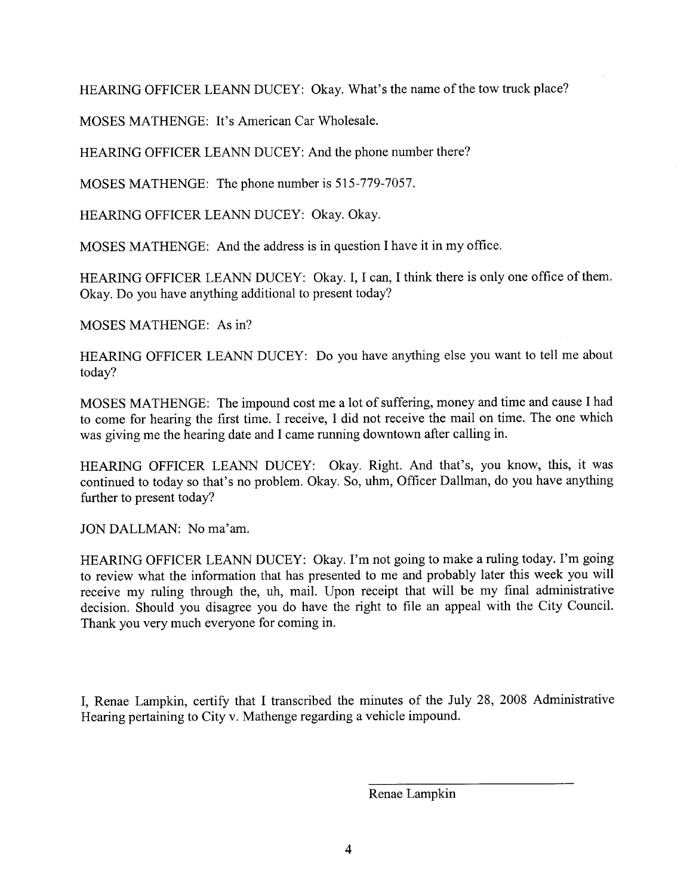HEARING OFFICER LEANN DUCEY: Okay. What's the name of the tow truck place?

MOSES MATHENGE: It's American Car Wholesale.

HEARING OFFICER LEANN DUCEY: And the phone number there?

MOSES MATHENGE: The phone number is 515-779-7057.

HEARING OFFICER LEANN DUCEY: Okay. Okay.

MOSES MATHENGE: And the address is in question I have it in my office.

HEARING OFFICER LEANN DUCEY: Okay. I, I can, I think there is only one office of them. Okay. Do you have anything additional to present today?

MOSES MATHENGE: As in?

HEARING OFFICER LEANN DUCEY: Do you have anything else you want to tell me about today?

MOSES MATHENGE: The impound cost me a lot of suffering, money and time and cause I had to come for hearing the first time. I receive, I did not receive the mail on time. The one which was giving me the hearing date and I came running downtown after calling in.

HEARING OFFICER LEANN DUCEY: Okay. Right. And that's, you know, this, it was continued to today so that's no problem. Okay. So, uhm, Officer Dallman, do you have anything further to present today?

JON DALLMAN: No ma'am.

HEARING OFFICER LEANN DUCEY: Okay. I'm not going to make a ruling today. I'm going to review what the information that has presented to me and probably later this week you will receive my ruling through the, uh, mail. Upon receipt that will be my final administrative decision. Should you disagree you do have the right to file an appeal with the City Council. Thank you very much everyone for coming in.

I, Renae Lampkin, certify that I transcribed the minutes of the July 28, 2008 Administrative Hearing pertaining to City v. Mathenge regarding a vehicle impound.

Renae Lampkin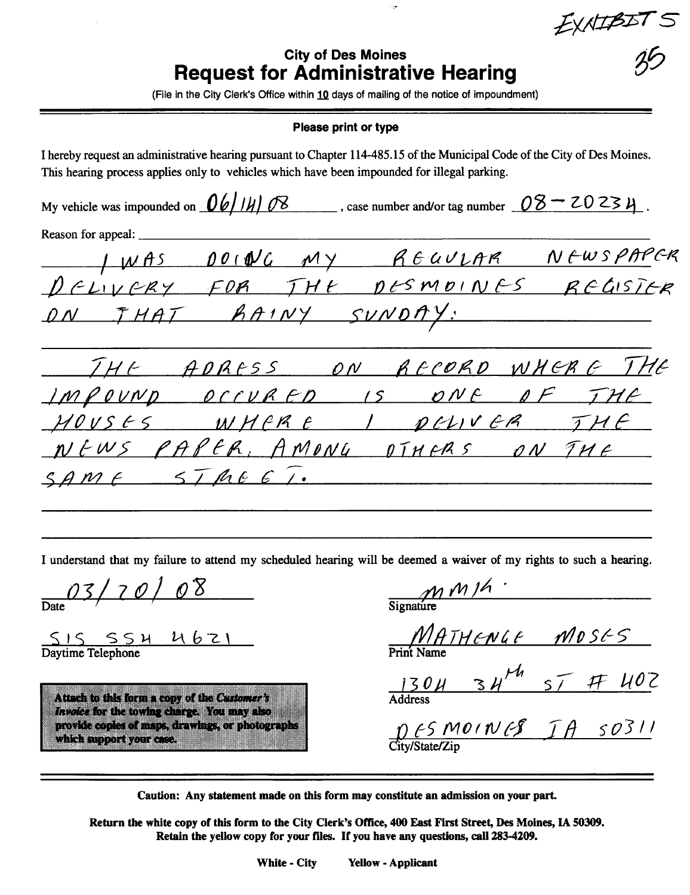EXAIBIN

## **City of Des Moines Request for Administrative Hearing**

ليرد

(File in the City Clerk's Office within 10 days of mailing of the notice of impoundment)

#### **Please print or type**

I hereby request an administrative hearing pursuant to Chapter 114-485.15 of the Municipal Code of the City of Des Moines. This hearing process applies only to vehicles which have been impounded for illegal parking. My vehicle was impounded on  $\frac{06}{14}$   $\frac{08}{14}$ . case number and/or tag number  $\frac{08-20234}{14}$ . Reason for appeal: JWAS DOING MY REGULAR NEWSPAPER<br>DELIVERY FOR THE DESMOINES REGISTER ON THAT RAINY SUNDAY: THE ADRESS ON RECORD WHERE THE<br>IMPOUND OCCURED IS ONE OF THE MOUSES WHERE I PELIVER THE NEWS PAPER, AMONG DIMERS ON THE SAME STREET.

I understand that my failure to attend my scheduled hearing will be deemed a waiver of my rights to such a hearing.

03/70/08

 $SISSSH U6ZI$ <br>Daytime Telephone

Attach to this form a copy of the Customer's Invoice for the towing charge. You may also provide copies of maps, drawings, or photographs which support your case.

 $\frac{M M h}{\text{Sianature}}$ 

 $MATHENGE$   $MOSES$ <br>Print Name

 $1304$   $34^{14}$   $57$   $77$   $402$ 

 $Df5MOINf5$   $TH5O311$ 

Caution: Any statement made on this form may constitute an admission on your part.

Return the white copy of this form to the City Clerk's Office, 400 East First Street, Des Moines, IA 50309. Retain the yellow copy for your files. If you have any questions, call 283-4209.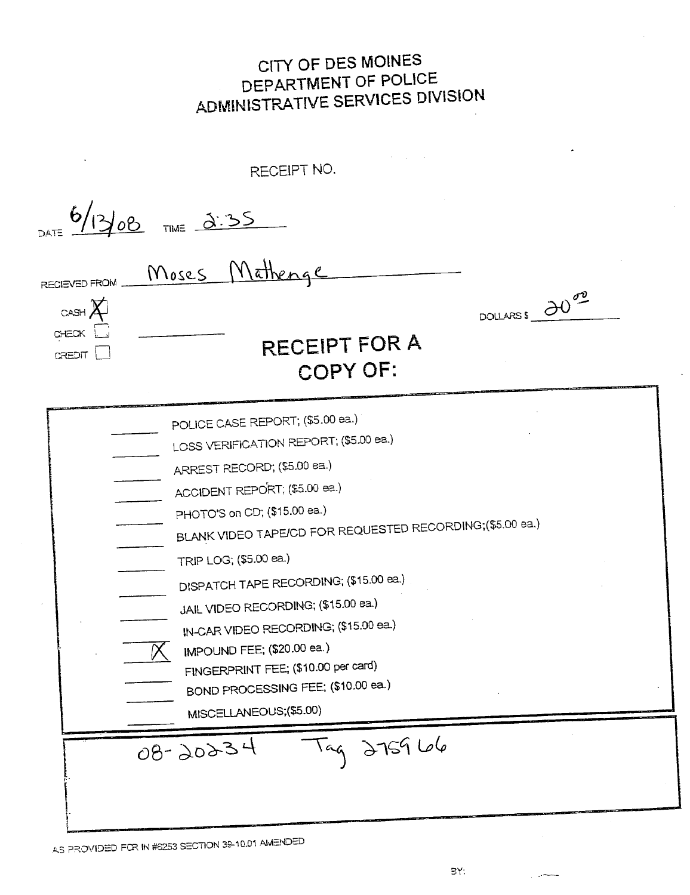CITY OF DES MOINES DEPARTMENT OF POLICE ADMINISTRATIVE SERVICES DIVISION

| <b>RECIEVED FROM</b>               | Moses Mathenac                                                                                                                                                                                                                                                                                                                                                                                                                                                                                                                   |
|------------------------------------|----------------------------------------------------------------------------------------------------------------------------------------------------------------------------------------------------------------------------------------------------------------------------------------------------------------------------------------------------------------------------------------------------------------------------------------------------------------------------------------------------------------------------------|
| $CASH$ $\chi$<br>CHECK L<br>CREDIT | DOLLARSS 2000<br><b>RECEIPT FOR A</b><br>COPY OF:                                                                                                                                                                                                                                                                                                                                                                                                                                                                                |
|                                    | POLICE CASE REPORT; (\$5.00 ea.)<br>LOSS VERIFICATION REPORT; (\$5.00 ea.)<br>ARREST RECORD; (\$5.00 ea.)<br>ACCIDENT REPORT; (\$5.00 ea.)<br>PHOTO'S on CD; (\$15.00 ea.)<br>BLANK VIDEO TAPE/CD FOR REQUESTED RECORDING; (\$5.00 ea.)<br>TRIP LOG; (\$5.00 ea.)<br>DISPATCH TAPE RECORDING; (\$15.00 ea.)<br>JAIL VIDEO RECORDING; (\$15.00 ea.)<br>IN-CAR VIDEO RECORDING; (\$15.00 ea.)<br>IMPOUND FEE; (\$20.00 ea.)<br>FINGERPRINT FEE; (\$10.00 per card)<br>BOND PROCESSING FEE; (\$10.00 ea.)<br>MISCELLANEOUS;(\$5.00) |

AS PROVIDED FOR IN #5253 SECTION 39-10.01 AMENDED

للمحدان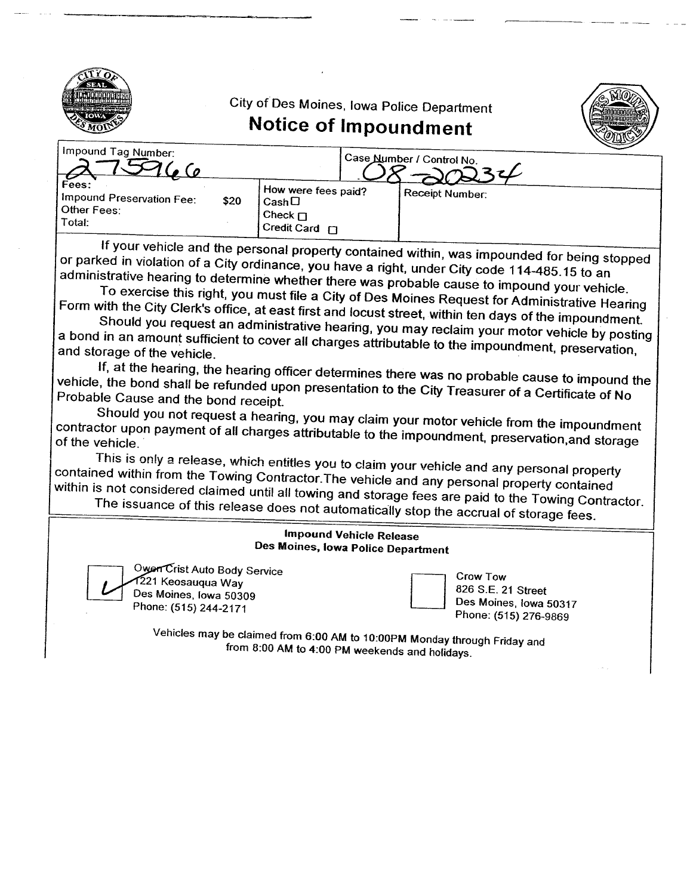

E

City of Des Moines, Iowa Police Department



# Notice of Impoundment

| Impound Tag Number:                                                   |                                                                                     | <sub>I</sub> Case Number / Control No. |
|-----------------------------------------------------------------------|-------------------------------------------------------------------------------------|----------------------------------------|
| Fees:<br>I Impound Preservation Fee:<br>\$20<br>Other Fees:<br>Total: | I How were fees paid?<br>$\mathsf{Cash}\square$<br>, Check $\Box$<br>Credit Card F1 | Receipt Number:                        |

If your vehicle and the personal property contained within, was impounded for being stopped or parked in violation of a City ordinance, you have a right, under City code 114-485.15 to an administrative hearing to determine whether there was probable cause to impound your vehicle.

To exercise this right, you must file a City of Des Moines Request for Administrative Hearing Form with the City Clerk's office, at east first and locust street, within ten days of the impoundment.

Should you request an administrative hearing, you may reclaim your motor vehicle by posting a bond in an amount sufficient to cover all charges attributable to the impoundment, preservation, and storage of the vehicle.

If, at the hearing, the hearing officer determines there was no probable cause to impound the vehicle, the bond shall be refunded upon presentation to the City Treasurer of a Certificate of No Probable Cause and the bond receipt

Should you not request a hearing, you may claim your motor vehicle from the impoundment contractor upon payment of all charges attributable to the impound venicle from the impoundment of the vehicle.

This is only a release, which entitles you to claim your vehicle and any personal property contained within from the Towing Contractor.The vehicle and any personal property contained within is not considered claimed until all towing and storage fees are paid to the Towing Contractor.

The issuance of this release does not automatically stop the accrual of storage fees.

### Impound Vehicle Release Des Moines, Iowa Police Department

Owen Crist Auto Body Service 221 Keosauqua Way Des Moines. Iowa 50309 Owerr Crist Auto Body Service<br>1221 Keosauqua Way<br>Des Moines, Iowa 50309<br>Phone: (515) 244-2171

Crow Tow 826 S.E. 21 Street Des Moines, Iowa 50317 Phone: (515) 276-9869

Vehicles may be claimed from 6:00 AM to 1 0:00PM Monday through Friday and from 8:00 AM to 4:00 PM weekends and holidays.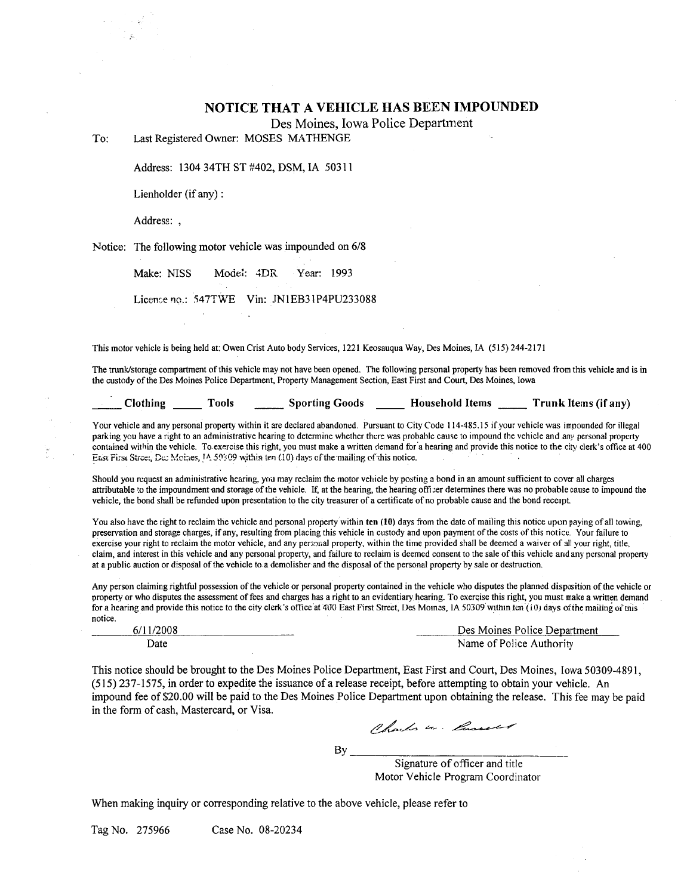#### NOTICE THAT A VEHICLE HAS BEEN IMPOUNDED

Des Moines, Iowa Police Department

To: Last Registered Owner: MOSES MATHENGE

Address: 1304 34TH ST #402, DSM, IA 50311

Lienholder (if any) :

Address: ,

Notice: The following motor vehicle was impounded on 6/8

Make: NISS Model: 4DR Year: 1993

License no.: 547TWE Vin: JN1EB31P4PU233088

This motor vehicle is being held at: Owen Crist Auto body Services, 1221 Keosauqua Way, Des Moines, IA (515) 244-2171

The trunk/storage compartment of this vehicle may not have been opened. The following personal property has been removed from this vehicle and is in the custody of the Des Moines Police Department, Property Management Section, East First and Court, Des Moines, Iowa

| Clothing | Tools | <b>Sporting Goods</b> | <b>Household Items</b> | Trunk Items (if any) |
|----------|-------|-----------------------|------------------------|----------------------|
|          |       |                       |                        |                      |
|          |       |                       |                        |                      |

Your vehicle and any personal property within it are declared abandoned. Pursuant to City Code 114-485.15 if your vehicle was impounded for illegal parking you have a right to an administrative hearing to determine whether there was probable cause to impound the vehicle and any personal property contained within the vehicle. To exercise this right, you must make a written demand for a hearing and provide this notice to the city clerk's office at 400 East First Street, Dec Moines, 14.50309 within ten (10) days of the mailing of this notice.

Should you request an administrative hearing, you may reclaim the motor vehicle by posting a bond in an amount sufficient to cover all charges attributable to the impoundment and storage of the vehicle. If, at the hearing, the hearing officer determines there was no probable cause to impound the vehicle, the bond shall be refunded upon presentation to the city treasurer of a certificate of no probable cause and the bond receipt.

You also have the right to reclaim the vehicle and personal property within ten (10) days from the date of mailing this notice upon paying of all towing, preservation and storage charges, if any, resulting from placing this vehicle in custody and upon payment of the costs of this notice, Your failure to exercise your right to reclaim the motor vehicle, and any personal property, within the time provided shall be deemed a waiver of all your right, title, claim, and interest in this vehicle and any personal property, and failure to reclaim is deemed consent to the sale of this vehicle and any personal property at a public auction or disposal of the vehicle to a demolisher and the disposal of the personal property by sale or destruction.

Any person claiming rightful possession of the vehicle or personal property contained in the vehicle who disputes the planned disposition of the vehicle or property or who disputes the assessment of fees and charges has a right to an evidentiary hearing. To exercise this right, you must make a written demand for a hearing and provide this notice to the city clerk's office at 400 East First Street, Des Momes, IA 50309 within ten (10) days of the mailing of this notice.

| 6/          | Des Moines Police Department |
|-------------|------------------------------|
| <b>Date</b> | Name of Police Authority     |

This notice should be brought to the Des Moines Police Department, East First and Court, Des Moines, Iowa 50309-4891, (515) 237-1575, in order to expedite the issuance ofa release receipt, before attempting to obtain your vehicle. An impound fee of \$20.00 will be paid to the Des Moines Police Department upon obtaining the release. This fee may be paid in the form of cash, Mastercard, or Visa.

 $By$ <sub>-----</sub>

Signature of officer and title Motor Vehicle Program Coordinator

When making inquiry or corresponding relative to the above vehicle, please refer to

Tag No. 275966 Case No. 08-20234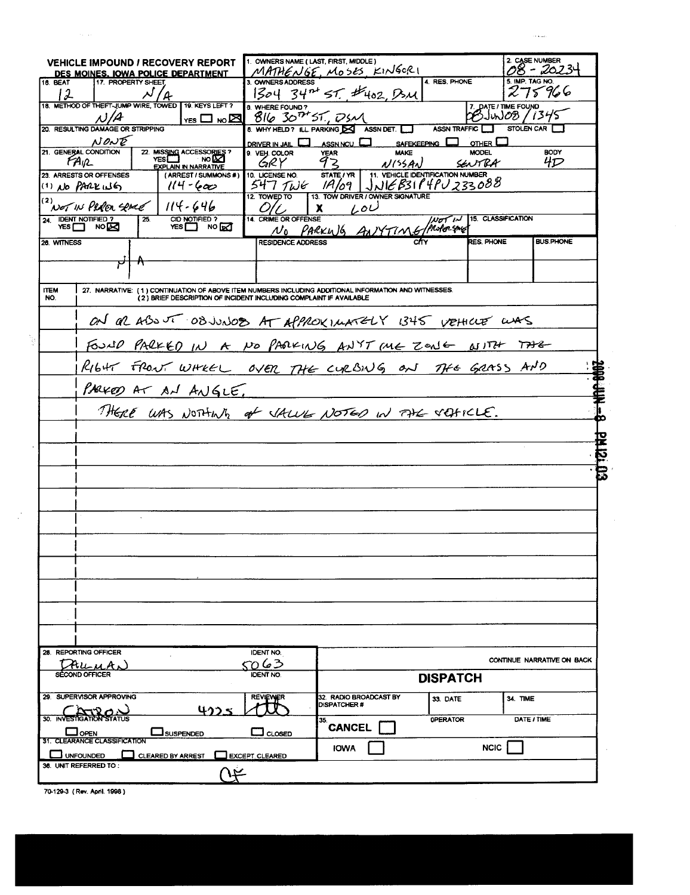|                 | <b>VEHICLE IMPOUND / RECOVERY REPORT</b><br><u>DES MOINES. IOWA POLICE DEPARTMENT</u> |                                                                    | 1. OWNERS NAME (LAST, FIRST, MIDDLE) | MATHENGE, MOSES KINGERI                                                                                         |                 |                    | 2. CASE NUMBER<br>98 - 2023- |
|-----------------|---------------------------------------------------------------------------------------|--------------------------------------------------------------------|--------------------------------------|-----------------------------------------------------------------------------------------------------------------|-----------------|--------------------|------------------------------|
| <b>16. BEAT</b> | 17. PROPERTY SHEE                                                                     |                                                                    |                                      | ownersADDRESS<br>1304 34 <sup>nt</sup> ST. #402, DSM                                                            | 4. RES. PHONE   |                    | 5. IMP. TAG NO.<br>275966    |
| 12              | $13.$ METHOD OF THEFT-JUMP WIRE, TOWED T19. KEYS LEFT ?                               |                                                                    | 8. WHERE FOUND ?                     |                                                                                                                 |                 |                    |                              |
|                 | N/A                                                                                   |                                                                    |                                      | $\frac{1}{100}$ m $\boxed{8}$ $\boxed{6}$ $\boxed{30}$ $\boxed{7}$ $\boxed{7}$ $\boxed{7}$ $\boxed{7}$          |                 | 7. DATE/TIME FOUND |                              |
|                 | 20. RESULTING DAMAGE OR STRIPPING                                                     |                                                                    |                                      | 8. WHY HELD ? ILL PARKING ASSN DET.                                                                             | ASSN TRAFFIC    |                    | STOLEN CAR                   |
|                 | NONE                                                                                  |                                                                    | DRIVER IN JAIL <b>D</b> ASSN NCU     |                                                                                                                 | SAFEKEEPING     | OTHER $\Box$       |                              |
|                 | 21. GENERAL CONDITION<br>FAIR                                                         | 22. MISSING ACCESSORIES?<br>VES NO DO                              |                                      |                                                                                                                 |                 |                    | <b>BODY</b><br>4D            |
|                 | 23. ARRESTS OR OFFENSES                                                               | <b>EXPLAIN IN NARRATIVE</b><br>(ARREST / SUMMONS #)                |                                      | SUBLICATION VEAR MAKE MODEL<br>10 LICENSE NO. STATE / VR. JULY 233088<br>12 TOWER TO 13. TOW DRIVER JULY 233088 |                 |                    |                              |
|                 | (1) NO PARK 116 114-600                                                               |                                                                    |                                      |                                                                                                                 |                 |                    |                              |
|                 | (2) NOT IN PERER SENCE   114-646                                                      |                                                                    |                                      |                                                                                                                 |                 |                    |                              |
|                 | $\overline{25}$                                                                       |                                                                    | O/C X<br>$\mathbf{r}$                | $\overline{L}$<br>NO PARKING ANYTIME/Morrison CLASSIFICATION                                                    |                 |                    |                              |
|                 | 24. IDENT NOTIFIED ?<br>YES I NO                                                      | CID NOTIFIED ?                                                     |                                      |                                                                                                                 |                 |                    |                              |
| 26. WITNESS     |                                                                                       |                                                                    | <b>RESIDENCE ADDRESS</b>             |                                                                                                                 |                 |                    | <b>BUS.PHONE</b>             |
|                 |                                                                                       |                                                                    |                                      |                                                                                                                 |                 |                    |                              |
|                 |                                                                                       |                                                                    |                                      |                                                                                                                 |                 |                    |                              |
| <b>ITEM</b>     |                                                                                       |                                                                    |                                      | 27. NARRATIVE: (1) CONTINUATION OF ABOVE ITEM NUMBERS INCLUDING ADDITIONAL INFORMATION AND WITNESSES.           |                 |                    |                              |
| NO.             |                                                                                       | (2) BRIEF DESCRIPTION OF INCIDENT INCLUDING COMPLAINT IF AVAILABLE |                                      |                                                                                                                 |                 |                    |                              |
|                 |                                                                                       |                                                                    |                                      |                                                                                                                 |                 |                    |                              |
|                 |                                                                                       |                                                                    |                                      | ON OR ABOUT OBJUNOOS AT APPROXIMATELY 1345 VEHICLE WAS                                                          |                 |                    |                              |
|                 |                                                                                       |                                                                    |                                      | FOULD PARKED IN A NO PARKING ANYT ME ZONG NITH TAK                                                              |                 |                    |                              |
|                 |                                                                                       |                                                                    |                                      |                                                                                                                 |                 |                    |                              |
|                 |                                                                                       |                                                                    |                                      | RIGHT FRONT WHEEL OVER THE CURBING ON THE GRASS AND                                                             |                 |                    |                              |
|                 |                                                                                       |                                                                    |                                      |                                                                                                                 |                 |                    |                              |
|                 |                                                                                       |                                                                    |                                      |                                                                                                                 |                 |                    |                              |
|                 |                                                                                       |                                                                    |                                      | THERE WAS NOTHING of VALUE NOTED IN THE VEHICLE.                                                                |                 |                    |                              |
|                 |                                                                                       |                                                                    |                                      |                                                                                                                 |                 |                    |                              |
|                 |                                                                                       |                                                                    |                                      |                                                                                                                 |                 |                    |                              |
|                 |                                                                                       |                                                                    |                                      |                                                                                                                 |                 |                    | 50777                        |
|                 |                                                                                       |                                                                    |                                      |                                                                                                                 |                 |                    |                              |
|                 |                                                                                       |                                                                    |                                      |                                                                                                                 |                 |                    |                              |
|                 |                                                                                       |                                                                    |                                      |                                                                                                                 |                 |                    |                              |
|                 |                                                                                       |                                                                    |                                      |                                                                                                                 |                 |                    |                              |
|                 |                                                                                       |                                                                    |                                      |                                                                                                                 |                 |                    |                              |
|                 |                                                                                       |                                                                    |                                      |                                                                                                                 |                 |                    |                              |
|                 |                                                                                       |                                                                    |                                      |                                                                                                                 |                 |                    |                              |
|                 |                                                                                       |                                                                    |                                      |                                                                                                                 |                 |                    |                              |
|                 |                                                                                       |                                                                    |                                      |                                                                                                                 |                 |                    |                              |
|                 |                                                                                       |                                                                    |                                      |                                                                                                                 |                 |                    |                              |
|                 |                                                                                       |                                                                    |                                      |                                                                                                                 |                 |                    |                              |
|                 |                                                                                       |                                                                    |                                      |                                                                                                                 |                 |                    |                              |
|                 |                                                                                       |                                                                    |                                      |                                                                                                                 |                 |                    |                              |
|                 |                                                                                       |                                                                    |                                      |                                                                                                                 |                 |                    |                              |
|                 |                                                                                       |                                                                    |                                      |                                                                                                                 |                 |                    |                              |
|                 | 28. REPORTING OFFICER                                                                 |                                                                    | <b>IDENT NO.</b>                     |                                                                                                                 |                 |                    |                              |
|                 | TAUMAN                                                                                |                                                                    | 5063                                 |                                                                                                                 |                 |                    | CONTINUE NARRATIVE ON BACK   |
|                 | <b>OND OFFICER</b>                                                                    |                                                                    | <b>IDENT NO</b>                      |                                                                                                                 | <b>DISPATCH</b> |                    |                              |
|                 | 29. SUPERVISOR APPROVING                                                              |                                                                    |                                      | 32. RADIO BROADCAST BY                                                                                          |                 |                    |                              |
|                 |                                                                                       |                                                                    | <b>REVIEWER</b>                      | <b>DISPATCHER#</b>                                                                                              | 33. DATE        |                    | 34. TIME                     |
|                 | $AT20 -$<br>30. INVESTIGATION STATUS                                                  | 4225                                                               |                                      | 35.                                                                                                             | <b>OPERATOR</b> |                    | DATE / TIME                  |
|                 | <b>L</b> OPEN                                                                         | <b>SUSPENDED</b>                                                   | CLOSED                               | <b>CANCEL</b>                                                                                                   |                 |                    |                              |
|                 | 31. CLEARANCE CLASSIFICATION<br>$\Box$ UNFOUNDED $\Box$ CLEARED BY ARREST             |                                                                    | EXCEPT. CLEARED                      | <b>IOWA</b>                                                                                                     |                 | <b>NCIC</b>        |                              |

 $\hat{\phi}$  , and

70-129-3 (Rev. April. 1998)

 $\mathbb{R}^3$ 

 $\sim$   $\sim$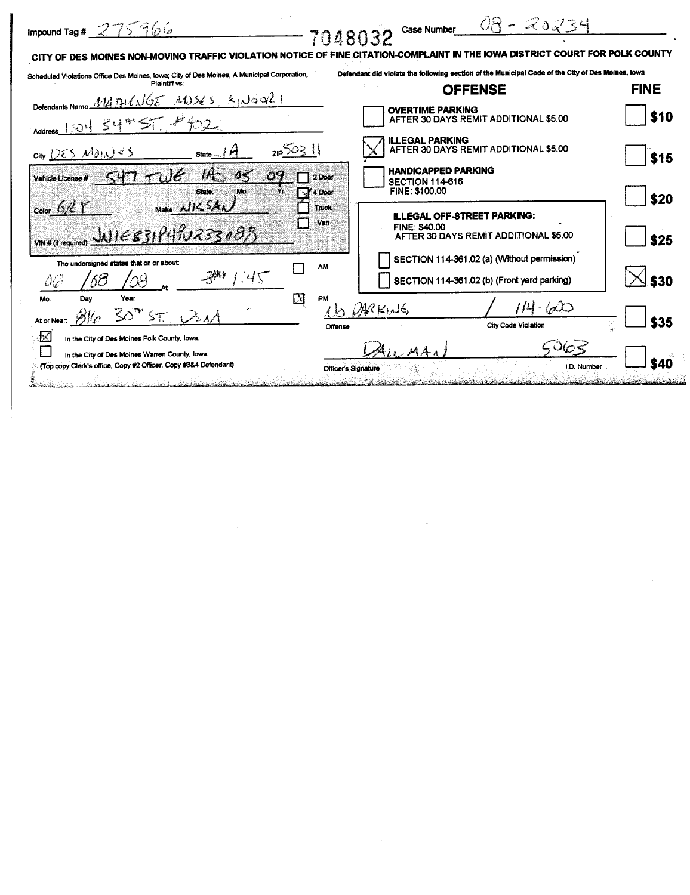| Impound Tag # $275966$<br>7048032                                                                                                                                                                                                            | - 20234<br>Case Number                                                                              |             |
|----------------------------------------------------------------------------------------------------------------------------------------------------------------------------------------------------------------------------------------------|-----------------------------------------------------------------------------------------------------|-------------|
| CITY OF DES MOINES NON-MOVING TRAFFIC VIOLATION NOTICE OF FINE CITATION-COMPLAINT IN THE IOWA DISTRICT COURT FOR POLK COUNTY                                                                                                                 |                                                                                                     |             |
| Scheduled Violations Office Des Moines, Iowa; City of Des Moines, A Municipal Corporation,<br>Plaintiff vs:                                                                                                                                  | Defendant did violate the following section of the Municipal Code of the City of Des Moines, lowa   |             |
| Defendants Name MITHENGE MOSES KINGQ21                                                                                                                                                                                                       | <b>OFFENSE</b>                                                                                      | <b>FINE</b> |
| $1304$ $34^{\circ}$ 57 $#$ $22$                                                                                                                                                                                                              | <b>OVERTIME PARKING</b><br>AFTER 30 DAYS REMIT ADDITIONAL \$5.00                                    | \$10        |
| $2IP$ 503 11<br>$\cos\left(\frac{1}{2}\right)$ $\cos\left(\frac{1}{2}\right)$<br>State $\frac{1}{4}$                                                                                                                                         | <b>ILLEGAL PARKING</b><br>AFTER 30 DAYS REMIT ADDITIONAL \$5.00                                     | \$15        |
| Vehicle License# $547$ $706$<br>$\mathfrak{a}\mathfrak{c}$<br>2 Door<br>Yr.<br>Mo.<br><b>State</b><br>4 Door                                                                                                                                 | <b>HANDICAPPED PARKING</b><br><b>SECTION 114-616</b><br><b>FINE: \$100.00</b>                       | \$20        |
| Make NILSAN<br>Color $6/2$ Y<br>Truck<br>Van<br>$VIN H (H respectively)$ $M168319410733083$                                                                                                                                                  | <b>ILLEGAL OFF-STREET PARKING:</b><br><b>FINE: \$40.00</b><br>AFTER 30 DAYS REMIT ADDITIONAL \$5.00 | \$25        |
| The undersigned states that on or about:<br>AM<br>0ic                                                                                                                                                                                        | SECTION 114-361.02 (a) (Without permission)<br>SECTION 114-361.02 (b) (Front yard parking)          | \$30        |
| $\mathbf{X}$<br>Mo.<br>Dav<br>Year<br>PM<br>$30"$ ST $\bigodot$ $M$<br>At or Near:<br>Offense                                                                                                                                                | $1/4 - 600$<br>DACK, 16<br>City Code Violation                                                      | \$35        |
| $\varGamma$<br>In the City of Des Moines Polk County, lowa.<br>In the City of Des Moines Warren County, Iowa.<br>(Top copy Clerk's office, Copy #2 Officer, Copy #3&4 Defendant)<br><b>Officer's Signature</b><br>tura descrita internazione | 5,063<br>I.D. Number                                                                                | S40         |

 $\label{eq:2.1} \frac{1}{\sqrt{2\pi}}\int_{\mathbb{R}^3}\frac{1}{\sqrt{2\pi}}\int_{\mathbb{R}^3}\frac{1}{\sqrt{2\pi}}\int_{\mathbb{R}^3}\frac{1}{\sqrt{2\pi}}\int_{\mathbb{R}^3}\frac{1}{\sqrt{2\pi}}\int_{\mathbb{R}^3}\frac{1}{\sqrt{2\pi}}\int_{\mathbb{R}^3}\frac{1}{\sqrt{2\pi}}\int_{\mathbb{R}^3}\frac{1}{\sqrt{2\pi}}\int_{\mathbb{R}^3}\frac{1}{\sqrt{2\pi}}\int_{\mathbb{R}^3}\frac{1$ 

 $\label{eq:2.1} \mathcal{L}(\mathcal{L}^{\text{max}}_{\mathcal{L}}(\mathcal{L}^{\text{max}}_{\mathcal{L}}(\mathcal{L}^{\text{max}}_{\mathcal{L}}(\mathcal{L}^{\text{max}}_{\mathcal{L}^{\text{max}}_{\mathcal{L}}})))))$ 

 $\label{eq:2.1} \mathcal{L}(\mathcal{L}^{\mathcal{L}}_{\mathcal{L}}(\mathcal{L}^{\mathcal{L}}_{\mathcal{L}})) \leq \mathcal{L}(\mathcal{L}^{\mathcal{L}}_{\mathcal{L}}(\mathcal{L}^{\mathcal{L}}_{\mathcal{L}})) \leq \mathcal{L}(\mathcal{L}^{\mathcal{L}}_{\mathcal{L}}(\mathcal{L}^{\mathcal{L}}_{\mathcal{L}}))$ 

 $\sim$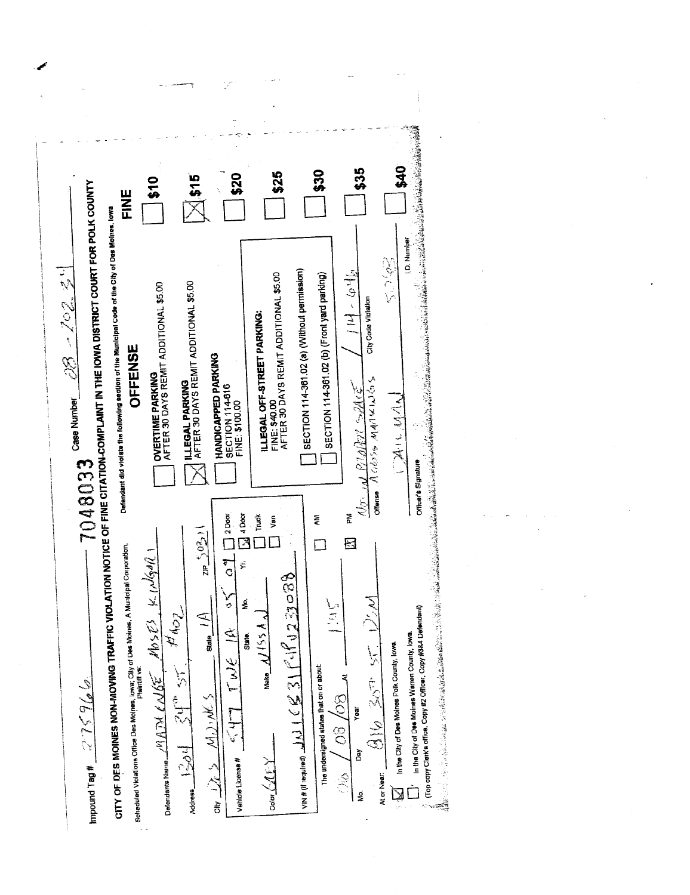| <u>ទ្</u><br><b>HNE</b>                                                                                                                                                                                                                                                                                                                                                                                                                                                                                                                                                                                                                                                                                                        | \$25<br>\$20<br><b>515</b>                                                                                                                                                                                                                                                                                                                                                                                                                                                                                                                               | \$40<br>\$35<br>\$30                                                                                                                                                                                                                                                                                                                                                                                                                                                                                                                                                                                                                                                                                                                                                                                                                                                                                                                                                                                                                 |  |
|--------------------------------------------------------------------------------------------------------------------------------------------------------------------------------------------------------------------------------------------------------------------------------------------------------------------------------------------------------------------------------------------------------------------------------------------------------------------------------------------------------------------------------------------------------------------------------------------------------------------------------------------------------------------------------------------------------------------------------|----------------------------------------------------------------------------------------------------------------------------------------------------------------------------------------------------------------------------------------------------------------------------------------------------------------------------------------------------------------------------------------------------------------------------------------------------------------------------------------------------------------------------------------------------------|--------------------------------------------------------------------------------------------------------------------------------------------------------------------------------------------------------------------------------------------------------------------------------------------------------------------------------------------------------------------------------------------------------------------------------------------------------------------------------------------------------------------------------------------------------------------------------------------------------------------------------------------------------------------------------------------------------------------------------------------------------------------------------------------------------------------------------------------------------------------------------------------------------------------------------------------------------------------------------------------------------------------------------------|--|
| CITY OF DES MOINES NON-MOVING TRAFFIC VIOLATION NOTICE OF FINE CITATION-COMPLAINT IN THE IOWA DISTRICT COURT FOR POLK COUNTY<br>Defendant did violate the following eection of the Municipal Code of the City of Des Moines, lows<br>المستعملين وسيستحدث المستبد<br><b>OVERTIME PARKING</b><br>AFTER 30 DAYS REMIT ADDITIONAL \$5.00<br>OFFENSE<br>E.<br>Case Number<br>7048033<br>Scheduled Violations Office Des Moines, Iowa; City of Des Moines, A Municipal Corporation.<br>Priatriti vs.<br>$Nb_3\bar{\chi}$ = $K_1Nb_3N_6$<br>TANK<br>Defendants Name $\mathscr{M}(\widetilde{A\mathcal{H}}\mathcal{L}\mathcal{N}\widetilde{G\mathcal{L}}$ .<br>$\mathscr{P}_0$ of $\mathscr{S}_L$ . $\mathscr{S}_L$ of $\mathscr{S}_L$ | FINE: \$40.00<br>AFTER 30 DAYS REMIT ADDITIONAL \$5.00<br><b>ILLEGAL PARKING<br/>AFTER 30 DAYS REMIT ADDITIONAL \$5.00</b><br>ILLEGAL OFF-STREET PARKING:<br><b>HANDICAPPED PARKING</b><br>SECTION 114-616<br>FINE: \$100.00<br>4 Door<br>Truck<br>$2$ Door<br>yan<br>5021<br>$\frac{1}{10}$<br>څ<br>$\frac{4}{3}$<br>$\frac{1}{2800250}$<br>ζ.<br>g.<br>Ź<br>State $\frac{1}{11}$<br>$\sqrt{(s_5)/N}$ exist<br>$47T$ TWE IR<br>$\frac{1}{2}2\frac{1}{2}$<br>25M·M<br>Vehicle License #<br>$Coker(\mathcal{M} \cap \mathcal{N})$<br>$\frac{1}{\sqrt{1}}$ | I.D. Number<br>50995<br>SECTION 114-361.02 (a) (Without permission)<br>引出 ~ 白情<br>SECTION 114-361.02 (b) (Front yard parking)<br>City Code Violation<br>$\sim \exp\left\{\mathcal{N}\left(\mathcal{N}\right) \mathcal{N}^{(1)}\right\} \left\{ \mathcal{N}\left(\mathcal{N}\right) \right\} \left\{ \mathcal{N}\left(\mathcal{N}\right) \right\} \left\{ \mathcal{N}\left(\mathcal{N}\right) \right\} \left\{ \mathcal{N}\left(\mathcal{N}\right) \right\} \left\{ \mathcal{N}\left(\mathcal{N}\right) \right\} \left\{ \mathcal{N}\left(\mathcal{N}\right) \right\} \left\{ \mathcal{N}\left(\mathcal{N}\right) \right\} \left\{ \mathcal{N}\left(\mathcal{N}\right) \right\}$<br>ME PARITY<br>MAAA<br>ل :<br>پنج<br>$\psi_{\mathcal{F}_1}$<br>좀<br>ξ<br>⊠<br>ハン<br>いこ<br>In the City of Des Moines Warren County, lowa.<br>In the City of Des Moines Polk County, lowa.<br>$916, 207$ 51<br>The undersigned states that on or about:<br>ا<br>آ<br>60/90<br><b>Year</b><br>ð<br>$\mathbb{R}^{\mathbb{C}}$<br>At or Near:<br>é<br>Ś. |  |